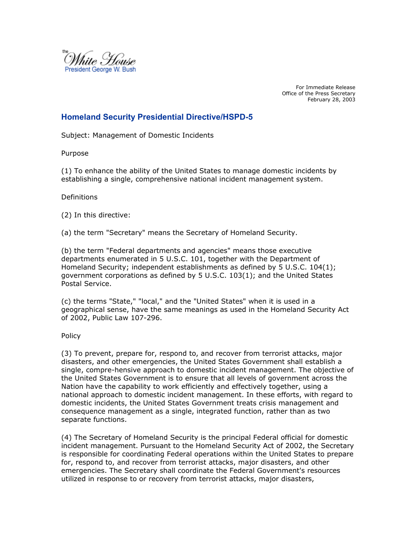

For Immediate Release Office of the Press Secretary February 28, 2003

## **Homeland Security Presidential Directive/HSPD-5**

Subject: Management of Domestic Incidents

Purpose

(1) To enhance the ability of the United States to manage domestic incidents by establishing a single, comprehensive national incident management system.

## **Definitions**

(2) In this directive:

(a) the term "Secretary" means the Secretary of Homeland Security.

(b) the term "Federal departments and agencies" means those executive departments enumerated in 5 U.S.C. 101, together with the Department of Homeland Security; independent establishments as defined by 5 U.S.C. 104(1); government corporations as defined by 5 U.S.C. 103(1); and the United States Postal Service.

(c) the terms "State," "local," and the "United States" when it is used in a geographical sense, have the same meanings as used in the Homeland Security Act of 2002, Public Law 107-296.

## Policy

(3) To prevent, prepare for, respond to, and recover from terrorist attacks, major disasters, and other emergencies, the United States Government shall establish a single, compre-hensive approach to domestic incident management. The objective of the United States Government is to ensure that all levels of government across the Nation have the capability to work efficiently and effectively together, using a national approach to domestic incident management. In these efforts, with regard to domestic incidents, the United States Government treats crisis management and consequence management as a single, integrated function, rather than as two separate functions.

(4) The Secretary of Homeland Security is the principal Federal official for domestic incident management. Pursuant to the Homeland Security Act of 2002, the Secretary is responsible for coordinating Federal operations within the United States to prepare for, respond to, and recover from terrorist attacks, major disasters, and other emergencies. The Secretary shall coordinate the Federal Government's resources utilized in response to or recovery from terrorist attacks, major disasters,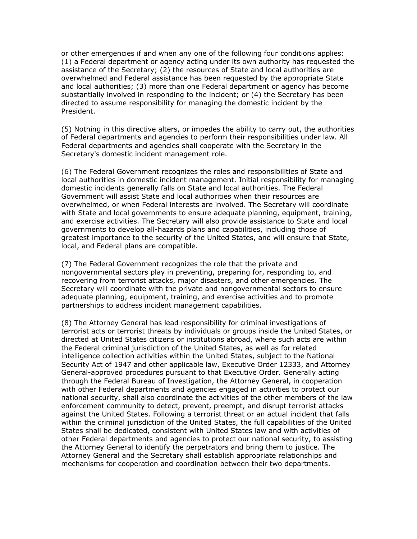or other emergencies if and when any one of the following four conditions applies: (1) a Federal department or agency acting under its own authority has requested the assistance of the Secretary; (2) the resources of State and local authorities are overwhelmed and Federal assistance has been requested by the appropriate State and local authorities; (3) more than one Federal department or agency has become substantially involved in responding to the incident; or (4) the Secretary has been directed to assume responsibility for managing the domestic incident by the President.

(5) Nothing in this directive alters, or impedes the ability to carry out, the authorities of Federal departments and agencies to perform their responsibilities under law. All Federal departments and agencies shall cooperate with the Secretary in the Secretary's domestic incident management role.

(6) The Federal Government recognizes the roles and responsibilities of State and local authorities in domestic incident management. Initial responsibility for managing domestic incidents generally falls on State and local authorities. The Federal Government will assist State and local authorities when their resources are overwhelmed, or when Federal interests are involved. The Secretary will coordinate with State and local governments to ensure adequate planning, equipment, training, and exercise activities. The Secretary will also provide assistance to State and local governments to develop all-hazards plans and capabilities, including those of greatest importance to the security of the United States, and will ensure that State, local, and Federal plans are compatible.

(7) The Federal Government recognizes the role that the private and nongovernmental sectors play in preventing, preparing for, responding to, and recovering from terrorist attacks, major disasters, and other emergencies. The Secretary will coordinate with the private and nongovernmental sectors to ensure adequate planning, equipment, training, and exercise activities and to promote partnerships to address incident management capabilities.

(8) The Attorney General has lead responsibility for criminal investigations of terrorist acts or terrorist threats by individuals or groups inside the United States, or directed at United States citizens or institutions abroad, where such acts are within the Federal criminal jurisdiction of the United States, as well as for related intelligence collection activities within the United States, subject to the National Security Act of 1947 and other applicable law, Executive Order 12333, and Attorney General-approved procedures pursuant to that Executive Order. Generally acting through the Federal Bureau of Investigation, the Attorney General, in cooperation with other Federal departments and agencies engaged in activities to protect our national security, shall also coordinate the activities of the other members of the law enforcement community to detect, prevent, preempt, and disrupt terrorist attacks against the United States. Following a terrorist threat or an actual incident that falls within the criminal jurisdiction of the United States, the full capabilities of the United States shall be dedicated, consistent with United States law and with activities of other Federal departments and agencies to protect our national security, to assisting the Attorney General to identify the perpetrators and bring them to justice. The Attorney General and the Secretary shall establish appropriate relationships and mechanisms for cooperation and coordination between their two departments.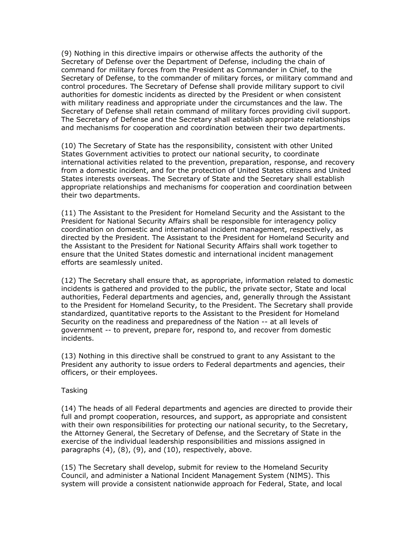(9) Nothing in this directive impairs or otherwise affects the authority of the Secretary of Defense over the Department of Defense, including the chain of command for military forces from the President as Commander in Chief, to the Secretary of Defense, to the commander of military forces, or military command and control procedures. The Secretary of Defense shall provide military support to civil authorities for domestic incidents as directed by the President or when consistent with military readiness and appropriate under the circumstances and the law. The Secretary of Defense shall retain command of military forces providing civil support. The Secretary of Defense and the Secretary shall establish appropriate relationships and mechanisms for cooperation and coordination between their two departments.

(10) The Secretary of State has the responsibility, consistent with other United States Government activities to protect our national security, to coordinate international activities related to the prevention, preparation, response, and recovery from a domestic incident, and for the protection of United States citizens and United States interests overseas. The Secretary of State and the Secretary shall establish appropriate relationships and mechanisms for cooperation and coordination between their two departments.

(11) The Assistant to the President for Homeland Security and the Assistant to the President for National Security Affairs shall be responsible for interagency policy coordination on domestic and international incident management, respectively, as directed by the President. The Assistant to the President for Homeland Security and the Assistant to the President for National Security Affairs shall work together to ensure that the United States domestic and international incident management efforts are seamlessly united.

(12) The Secretary shall ensure that, as appropriate, information related to domestic incidents is gathered and provided to the public, the private sector, State and local authorities, Federal departments and agencies, and, generally through the Assistant to the President for Homeland Security, to the President. The Secretary shall provide standardized, quantitative reports to the Assistant to the President for Homeland Security on the readiness and preparedness of the Nation -- at all levels of government -- to prevent, prepare for, respond to, and recover from domestic incidents.

(13) Nothing in this directive shall be construed to grant to any Assistant to the President any authority to issue orders to Federal departments and agencies, their officers, or their employees.

## Tasking

(14) The heads of all Federal departments and agencies are directed to provide their full and prompt cooperation, resources, and support, as appropriate and consistent with their own responsibilities for protecting our national security, to the Secretary, the Attorney General, the Secretary of Defense, and the Secretary of State in the exercise of the individual leadership responsibilities and missions assigned in paragraphs (4), (8), (9), and (10), respectively, above.

(15) The Secretary shall develop, submit for review to the Homeland Security Council, and administer a National Incident Management System (NIMS). This system will provide a consistent nationwide approach for Federal, State, and local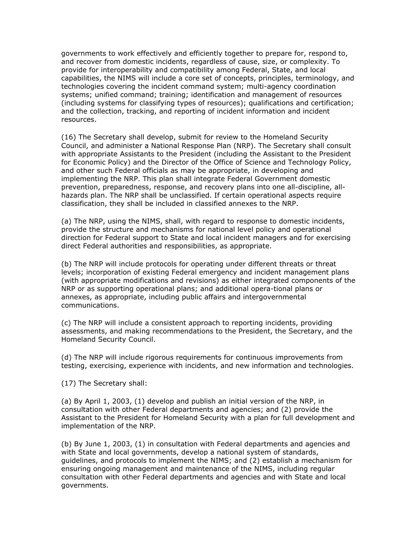governments to work effectively and efficiently together to prepare for, respond to, and recover from domestic incidents, regardless of cause, size, or complexity. To provide for interoperability and compatibility among Federal, State, and local capabilities, the NIMS will include a core set of concepts, principles, terminology, and technologies covering the incident command system; multi-agency coordination systems; unified command; training; identification and management of resources (including systems for classifying types of resources); qualifications and certification; and the collection, tracking, and reporting of incident information and incident resources.

(16) The Secretary shall develop, submit for review to the Homeland Security Council, and administer a National Response Plan (NRP). The Secretary shall consult with appropriate Assistants to the President (including the Assistant to the President for Economic Policy) and the Director of the Office of Science and Technology Policy, and other such Federal officials as may be appropriate, in developing and implementing the NRP. This plan shall integrate Federal Government domestic prevention, preparedness, response, and recovery plans into one all-discipline, allhazards plan. The NRP shall be unclassified. If certain operational aspects require classification, they shall be included in classified annexes to the NRP.

(a) The NRP, using the NIMS, shall, with regard to response to domestic incidents, provide the structure and mechanisms for national level policy and operational direction for Federal support to State and local incident managers and for exercising direct Federal authorities and responsibilities, as appropriate.

(b) The NRP will include protocols for operating under different threats or threat levels; incorporation of existing Federal emergency and incident management plans (with appropriate modifications and revisions) as either integrated components of the NRP or as supporting operational plans; and additional opera-tional plans or annexes, as appropriate, including public affairs and intergovernmental communications.

(c) The NRP will include a consistent approach to reporting incidents, providing assessments, and making recommendations to the President, the Secretary, and the Homeland Security Council.

(d) The NRP will include rigorous requirements for continuous improvements from testing, exercising, experience with incidents, and new information and technologies.

(17) The Secretary shall:

(a) By April 1, 2003, (1) develop and publish an initial version of the NRP, in consultation with other Federal departments and agencies; and (2) provide the Assistant to the President for Homeland Security with a plan for full development and implementation of the NRP.

(b) By June 1, 2003, (1) in consultation with Federal departments and agencies and with State and local governments, develop a national system of standards, guidelines, and protocols to implement the NIMS; and (2) establish a mechanism for ensuring ongoing management and maintenance of the NIMS, including regular consultation with other Federal departments and agencies and with State and local governments.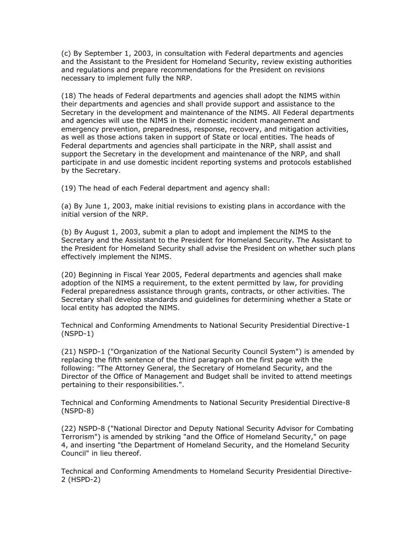(c) By September 1, 2003, in consultation with Federal departments and agencies and the Assistant to the President for Homeland Security, review existing authorities and regulations and prepare recommendations for the President on revisions necessary to implement fully the NRP.

(18) The heads of Federal departments and agencies shall adopt the NIMS within their departments and agencies and shall provide support and assistance to the Secretary in the development and maintenance of the NIMS. All Federal departments and agencies will use the NIMS in their domestic incident management and emergency prevention, preparedness, response, recovery, and mitigation activities, as well as those actions taken in support of State or local entities. The heads of Federal departments and agencies shall participate in the NRP, shall assist and support the Secretary in the development and maintenance of the NRP, and shall participate in and use domestic incident reporting systems and protocols established by the Secretary.

(19) The head of each Federal department and agency shall:

(a) By June 1, 2003, make initial revisions to existing plans in accordance with the initial version of the NRP.

(b) By August 1, 2003, submit a plan to adopt and implement the NIMS to the Secretary and the Assistant to the President for Homeland Security. The Assistant to the President for Homeland Security shall advise the President on whether such plans effectively implement the NIMS.

(20) Beginning in Fiscal Year 2005, Federal departments and agencies shall make adoption of the NIMS a requirement, to the extent permitted by law, for providing Federal preparedness assistance through grants, contracts, or other activities. The Secretary shall develop standards and guidelines for determining whether a State or local entity has adopted the NIMS.

Technical and Conforming Amendments to National Security Presidential Directive-1 (NSPD-1)

(21) NSPD-1 ("Organization of the National Security Council System") is amended by replacing the fifth sentence of the third paragraph on the first page with the following: "The Attorney General, the Secretary of Homeland Security, and the Director of the Office of Management and Budget shall be invited to attend meetings pertaining to their responsibilities.".

Technical and Conforming Amendments to National Security Presidential Directive-8 (NSPD-8)

(22) NSPD-8 ("National Director and Deputy National Security Advisor for Combating Terrorism") is amended by striking "and the Office of Homeland Security," on page 4, and inserting "the Department of Homeland Security, and the Homeland Security Council" in lieu thereof.

Technical and Conforming Amendments to Homeland Security Presidential Directive-2 (HSPD-2)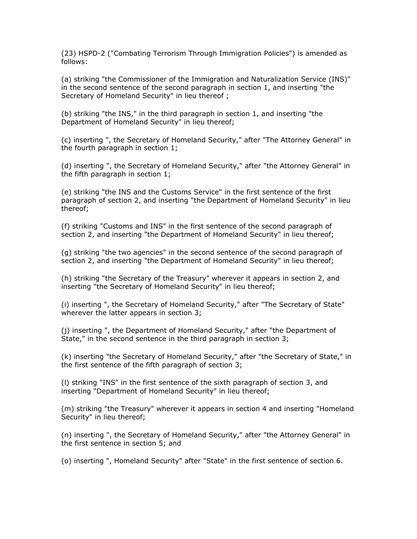(23) HSPD-2 ("Combating Terrorism Through Immigration Policies") is amended as follows:

(a) striking "the Commissioner of the Immigration and Naturalization Service (INS)" in the second sentence of the second paragraph in section 1, and inserting "the Secretary of Homeland Security" in lieu thereof ;

(b) striking "the INS," in the third paragraph in section 1, and inserting "the Department of Homeland Security" in lieu thereof;

(c) inserting ", the Secretary of Homeland Security," after "The Attorney General" in the fourth paragraph in section 1;

(d) inserting ", the Secretary of Homeland Security," after "the Attorney General" in the fifth paragraph in section 1;

(e) striking "the INS and the Customs Service" in the first sentence of the first paragraph of section 2, and inserting "the Department of Homeland Security" in lieu thereof;

(f) striking "Customs and INS" in the first sentence of the second paragraph of section 2, and inserting "the Department of Homeland Security" in lieu thereof;

(g) striking "the two agencies" in the second sentence of the second paragraph of section 2, and inserting "the Department of Homeland Security" in lieu thereof;

(h) striking "the Secretary of the Treasury" wherever it appears in section 2, and inserting "the Secretary of Homeland Security" in lieu thereof;

(i) inserting ", the Secretary of Homeland Security," after "The Secretary of State" wherever the latter appears in section 3;

(j) inserting ", the Department of Homeland Security," after "the Department of State," in the second sentence in the third paragraph in section 3;

(k) inserting "the Secretary of Homeland Security," after "the Secretary of State," in the first sentence of the fifth paragraph of section 3;

(l) striking "INS" in the first sentence of the sixth paragraph of section 3, and inserting "Department of Homeland Security" in lieu thereof;

(m) striking "the Treasury" wherever it appears in section 4 and inserting "Homeland Security" in lieu thereof;

(n) inserting ", the Secretary of Homeland Security," after "the Attorney General" in the first sentence in section 5; and

(o) inserting ", Homeland Security" after "State" in the first sentence of section 6.